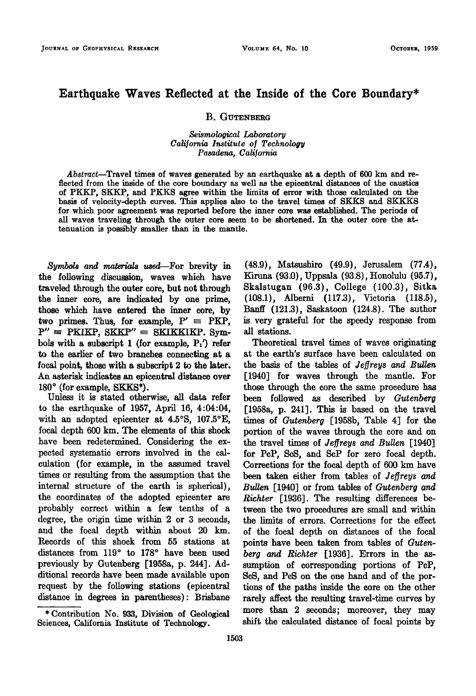## **Earthquake Waves Reflected at the Inside of the Core Boundary\***

## **B. GUTENBERG**

**Seismological Laboratory California Institute of Technology Pasadena, California** 

Abstract—Travel times of waves generated by an earthquake at a depth of 600 km and re**flected from the inside of the core boundary as well as the epicentral distances of the caustics of PKKP, SKKP, and PKKS agree within the limits of error with those calculated on the basis of velocity-depth curves. This applies also to the travel times of SKKS and SKKKS for which poor agreement was reported before the inner core was established. The periods of all waves traveling through the outer core seem to be shortened. In the outer core the attenuation is possibly smaller than in the mantle.** 

**Symbols and materials used--For brevity in the following discussion, waves which have traveled through the outer core, but not through the inner core, are indicated by one prime, those which have entered the inner core, by**  two primes. Thus, for example,  $P' = PKP$ ,  $P'' \equiv PKIKP$ , SKKP"  $\equiv$  SKIKKIKP. Sym**bols with a subscript i (for example, P•') refer to the earlier of two branches connecting at a focal point, those with a subscript 2 to the later. An asterisk indicates an epicentral distance over**  180° (for example, SKKS<sup>\*</sup>).

**Unless it is stated otherwise, all data refer to the earthquake of 1957, April 16, 4:04:04, with an adopted epicenter at 4.5øS, 107.5øE,**  focal depth 600 km. The elements of this shock **have been redetermined. Considering the expected systematic errors involved in the calculation (for example, in the assumed travel times or resulting from the assumption that the internal structure of the earth is spherical), the coordinates of the adopted epicenter are probably correct within a few tenths of a degree, the origin time within 2 or 3 seconds, and the focal depth within about 20 km. Records of this shock from 55 stations at**  distances from 119° to 178° have been used **previously by Gutenberg [1958a, p. 244]. Additional records have been made available upon request by the following stations (epicentral distance in degrees in parentheses): Brisbane** 

**\* Contribution No. 933, Division of Geological Sciences, California Institute of Technology.** 

**(48.9), Matsushiro (49.9), Jerusalem (77.4), Kiruna (93.0), Uppsala (93.8), Honolulu (95.7), Skalstugan (96.3), College (100.3), Sitka (108.1), Alberni (117.3), Victoria (118.5), Banff (121.3), Saskatoon (124.8). The author is very grateful for the speedy response from all stations.** 

**Theoretical travel times of waves originating at the earth's surface have been calculated on the basis of the tables of Jef]reys and Bullen [1940] for waves through the mantle. For those through the core the same procedure has been followed as described by Gutenberg [1958a, p. 241]. This is based on the travel times of Gutenberg [1958b, Table 4] for the portion of the waves through the core and on**  the travel times of *Jeffreys and Bullen* [1940] **for PcP, ScS, and ScP for zero focal depth. Corrections for the focal depth of 600 km have**  been taken either from tables of Jeffreys and **Bullen [1940] or from tables of Gutenberg and Richter [1936]. The resulting differences between the two procedures are small and within the limits of errors. Corrections for the effect of the focal depth on distances of the focal points have been taken from tables of Gutenberg and Richter [1936]. Errors in the assumption of corresponding portions of PcP, ScS, and PcS on the one hand and of the portions of the paths inside the core on the other rarely affect the resulting travel-time curves by more than 2 seconds; moreover, they may shift the calculated distance of focal points by**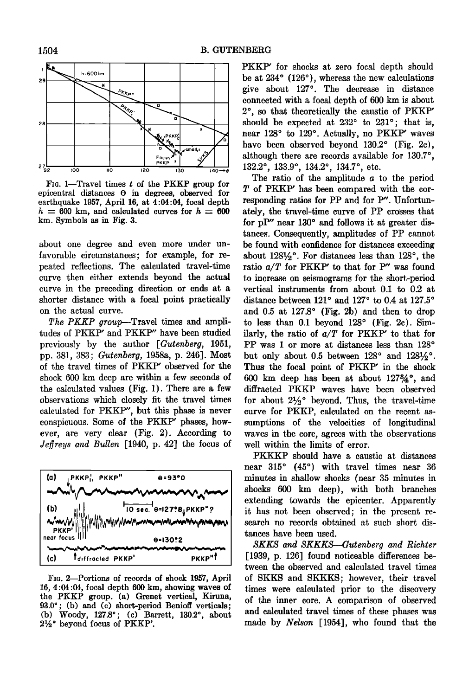

FIG. 1-Travel times t of the PKKP group for **epicentral distances O in degrees, observed for earthquake 1957, April 16, at 4:04:04, focal depth**   $h = 600$  km, and calculated curves for  $h = 600$ **kin. Symbols as in Fig. 3.** 

**about one degree and even more under unfavorable circumstances; for example, for repeated reflections. The calculated travel-time curve then either extends beyond the actual curve in the preceding direction or ends at a shorter distance with a focal point practically on the actual curve.** 

The PKKP group-Travel times and ampli**tudes of PKKP' and PKKP" have been studied previously by the author [Gutenberg, 1951, pp. 381, 383; Gutenberg, 1958a, p. 246]. Most of the travel times of PKKP' observed for the shock 600 km deep are within a few seconds of the calculated values (Fig. 1). There are a few observations which closely fit the travel times calculated for. PKKP", but this phase is never conspicuous. Some of the PKKP' phases, however, are very clear (Fig. 2). According to**  Jeffreys and Bullen [1940, p. 42] the focus of



**FIG. 2--Portions of records of shock 1957, April 16, 4:04:04, focal depth 600 km, showing waves of the PKKP group. (a) Grenet vertical, Kiruna, 93.0ø; (b) and (c) short-period Benioff verticals;**  (b) Woody, 127.8°; (c) Barrett, 130.2°, about **2% ø beyond focus of PKKP'.** 

**PKKP' for shocks at zero focal depth should**  be at 234° (126°), whereas the new calculations give about 127°. The decrease in distance **connected with a focal depth of 600 km is about 2 ø, so that theoretically the caustic of PKKP'**  should be expected at 232° to 231°; that is, near 128° to 129°. Actually, no PKKP' waves have been observed beyond 130.2° (Fig. 2c), although there are records available for 130.7°, 132.2°, 133.9°, 134.2°, 134.7°, etc.

**The ratio of the amplitude a to the period T of PKKP' has been compared with the corresponding ratios for PP and for P". Unfortunately, the travel-time curve of PP crosses that**  for pP" near 130° and follows it at greater dis**tances. Consequently, amplitudes of PP cannot be found with confidence for distances exceeding**  about 1281/<sub>2</sub>°. For distances less than 128°, the **ratio a/T for PKKP' to that for P" was found to increase on seismograms for the short-period vertical instruments from about 0.1 to 0.2 at**  distance between 121° and 127° to 0.4 at 127.5° and 0.5 at 127.8° (Fig. 2b) and then to drop to less than 0.1 beyond 128° (Fig. 2c). Sim**ilarly, the ratio of a/T for PKKP' to that for**  PP was 1 or more at distances less than 128° but only about 0.5 between  $128^\circ$  and  $128\frac{1}{2}\degree$ . **Thus the focal point of PKKP' in the shock**  600 km deep has been at about 127<sup>3</sup>/<sub>4</sub>°, and **diffracted PKKP waves have been observed**  for about  $2\frac{1}{2}$ <sup>o</sup> beyond. Thus, the travel-time **curve for PKKP, calculated on the recent assumptions of the velocities of longitudinal waves in the core, agrees with the observations well within the limits of error.** 

**PKKKP should have a caustic at distances**  near 315° (45°) with travel times near 36 **minutes in shallow shocks (near 35 minutes in shocks 600 km deep), with both branches extending towards the epicenter. Apparently it has not been observed; in the present research no records obtained at such short distances have been used.** 

**SKKS and SKKKS--Gutenberg and Richter [1939, p. 126] found noticeable differences between the observed and calculated travel times of SKKS and SKKKS; however, their travel times were calculated prior to the discovery of the inner core. A comparison of observed and calculated travel times of these phases was made by Nelson [1954], who found that the**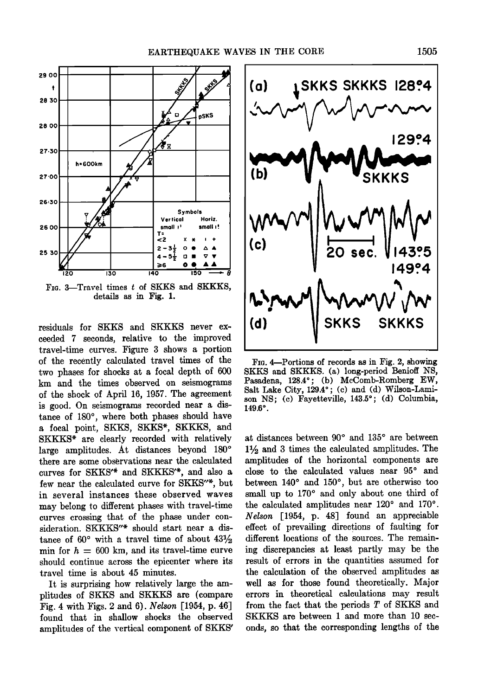

**FIG. 3--Travel times t of SKKS and SKKKS, details as in Fig. 1.** 

**residuals for SKKS and SKKKS never exceeded 7 seconds, relative to the improved travel-time curves. Figure 3 shows a portion of the recently calculated travel times of the two phases for shocks at a focal depth of 600 km and the times observed on seismograms of the shock of April 16, 1957. The agreement is good. On seismograms recorded near a dis**tance of 180°, where both phases should have **a focal point, SKKS, SKKS% SKKKS, and**  SKKKS\* are clearly recorded with relatively large amplitudes. At distances beyond 180° **there are some observations near the calculated**  curves for SKKS'\* and SKKKS'\*, and also a **few near the calculated curve for SKKS"% but in several instances these observed waves may belong to different phases with travel-time curves crossing that of the phase under con**sideration. SKKKS"\* should start near a distance of  $60^{\circ}$  with a travel time of about  $43\frac{1}{2}$ min for  $h = 600$  km, and its travel-time curve **should continue across the epicenter where its travel time is about 45 minutes.** 

**It is surprising how relatively large the amplitudes of SKKS and SKKKS are (compare Fig. 4 with Figs. 2 and 6). Nelson [1954, p. 46]**  found that in shallow shocks the observed amplitudes of the vertical component of SKKS'



**Fxo. 4--Portions of records as in Fig. 2, showing**  SKKS and SKKKS. (a) long-period Benioff NS, Pasadena, 128.4°; (b) McComb-Romberg EW, Salt Lake City, 129.4°; (c) and (d) Wilson-Lami**son NS; (c) Fayetteville, 143.5ø; (d) Columbia, 149.6 ø .** 

at distances between 90° and 135° are between **1•/• and 3 times the calculated amplitudes. The amplitudes of the horizontal components are close to the calculated values near 95 ø and**  between 140° and 150°, but are otherwise too small up to 170° and only about one third of the calculated amplitudes near 120° and 170°. **Nelson [1954, p. 48] found an appreciable effect of prevailing directions of faulting for different locations of the sources. The remaining discrepancies at least partly may be the result of errors in the quantities assumed for the calculation of the observed amplitudes as well as for those found theoretically. Major errors in theoretical calculations may result from the fact that the periods T of SKKS and SKKKS are between I and more than 10 seconds, so that the corresponding lengths of the**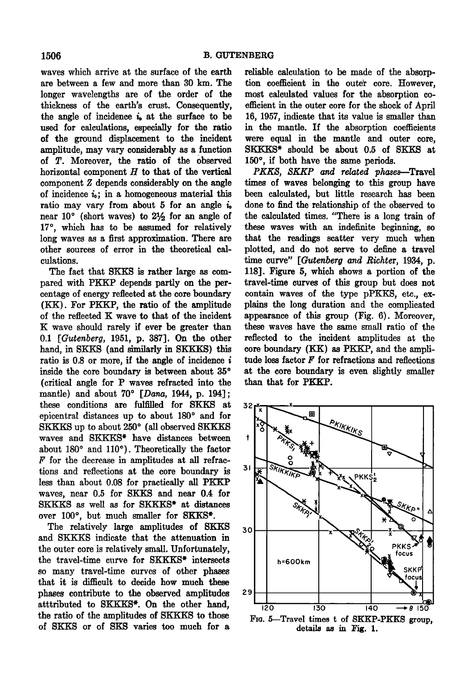**waves which arrive at the surface of the earth are between a few and more than 30 km. The longer wavelengths are of the order of the thickness of the earth's crust. Consequently,**  the angle of incidence  $i_n$  at the surface to be **used for calculations, especially for the ratio of the ground displacement to the incident amplitude, may vary considerably as a function of T. Moreover, the ratio of the observed horizontal component H to that of the vertical component Z depends considerably on the angle of incidence io; in a homogeneous material this**  ratio may vary from about 5 for an angle  $\dot{b}$ near 10<sup>°</sup> (short waves) to 2<sup>1</sup>/<sub>2</sub> for an angle of **17 ø, which has to be assumed for relatively long waves as a first approximation. There are other sources of error in the theoretical calculations.** 

**The fact that SKKS is rather large as compared with PKKP depends partly on the percentage of energy reflected at the core boundary (KK). For PKKP, the ratio of the amplitude of the reflected K wave to that of the incident K wave should rarely if ever be greater than 0.1 [Gutenberg, 1951, p. 387]. On the other hand, in SKKS (and similarly in SKKKS) this ratio is 0.8 or more, if the angle of incidence i** inside the core boundary is between about 35<sup>°</sup> **(critical angle for P waves refracted into the**  mantle) and about 70° [*Dana*, 1944, p. 194]; **these conditions are fulfilled for SKKS at**  epicentral distances up to about 180° and for SKKKS up to about 250° (all observed SKKKS waves and SKKKS\* have distances between about 180° and 110°). Theoretically the factor **F for the decrease in amplitudes at all refractions and reflections at the core boundary is less than about 0.08 for practically all PKKP waves, near 0.5 for SKKS and near 0.4 for**  SKKKS as well as for SKKKS<sup>\*</sup> at distances over 100°, but much smaller for SKKS\*.

**The relatively large amplitudes of SKKS and SKKKS indicate that the attenuation in the outer core is relatively small. Unfortunately,**  the travel-time curve for SKKKS\* intersects **so many travel-time curves of other phases that it is difficult to decide how much these phases contribute to the observed amplitudes**  atttributed to SKKKS<sup>\*</sup>. On the other hand, **the ratio of the amplitudes of SKKKS to those of SKKS or of SKS varies too much for a** 

**reliable calculation to be made of the absorp**tion coefficient in the outer core. However, **most calculated values for the absorption coefficient in the outer core for the shock of April 16, 1957, indicate that its value is smaller than in the mantle. If the absorption coefficients were equal in the mantle and outer core,**  SKKKS\* should be about 0.5 of SKKS at 150°, if both have the same periods.

PKKS, SKKP and related phases-Travel **times of waves belonging to this group have been calculated, but little research has been done to find the relationship of the observed to the calculated times. "There is a long train of these waves with an indefinite beginning, so that the readings scatter very much when plotted, and do not serve to define a travel time curve" [Gutenberg and Richter, 1934, p. 118]. Figure 5, which shows a portion of the travel-time curves of this group but does not contain waves of the type pPKKS, etc., explains the long duration and the complicated appearance of this group (Fig. 6). Moreover, these waves have the same small ratio of the reflected to the incident amplitudes at the core boundary (KK) as PKKP, and the amplitude loss factor F for refractions and reflections at the core boundary is even slightly smaller than that for PKKP.** 

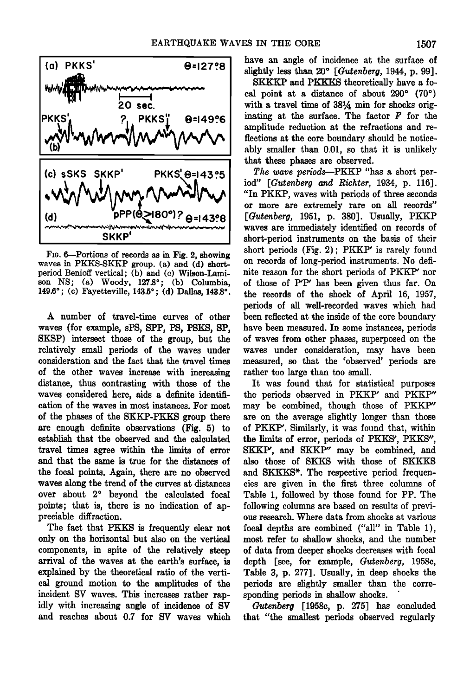

**Fro. 6--Portions of records as in Fig. 2, showing waves in PKKS-SKKP group. (a) and (d) shortperiod Benioff vertical; (b) and (c) Wilson-Lami**son NS; (a) Woody, 127.8°; (b) Columbia, 149.6°; (c) Fayetteville, 143.5°; (d) Dallas, 143.8°.

**A number of travel-time curves of other waves (for example, sPS, SPP, PS, PSKS, SP, SKSP) intersect those of the group, but the relatively small periods of the waves under consideration and the fact that the travel times of the other waves increase with increasing distance, thus contrasting with those of the waves considered here, aids a definite identification of the waves in most instances. For most of the phases of the SKKP-PKKS group there are enough definite observations (Fig. 5) to establish that the observed and the calculated travel times agree within the limits of error and that the same is true for the distances of the focal points. Again, there are no observed waves along the trend of the curves at distances**  over about 2° beyond the calculated focal **points; that is, there is no indication of appreciable diffraction.** 

**The fact that PKKS is frequently clear not only on the horizontal but also on the vertical components, in spite of the relatively steep arrival of the waves at the earth's surface, is explained by the theoretical ratio of the vertical ground motion to the amplitudes of the incident SV waves. This increases rather rapidly with increasing angle of incidence of SV and reaches about 0.7 for SV waves which**  **have an angie of incidence at the surface of**  slightly less than 20° [Gutenberg, 1944, p. 99].

**SKKKP and PKKKS theoretically have a fo**cal point at a distance of about  $290^\circ$   $(70^\circ)$ with a travel time of  $38^{1}/_{4}$  min for shocks orig**inating at the surface. The factor F for the amplitude reduction at the refractions and reflections at the core boundary should be noticeably smaller than 0.01, so that it is unlikely that these phases are observed.** 

 $\mathbf{A} \cdot \mathbf{A} \cdot \mathbf{A} \cdot \mathbf{A} \cdot \mathbf{A} \cdot \mathbf{A} \cdot \mathbf{A} \cdot \mathbf{A} \cdot \mathbf{A} \cdot \mathbf{A} \cdot \mathbf{A} \cdot \mathbf{A} \cdot \mathbf{A} \cdot \mathbf{A} \cdot \mathbf{A} \cdot \mathbf{A} \cdot \mathbf{A} \cdot \mathbf{A} \cdot \mathbf{A} \cdot \mathbf{A} \cdot \mathbf{A} \cdot \mathbf{A} \cdot \mathbf{A} \cdot \mathbf{A} \cdot \mathbf{A} \cdot \mathbf{A} \cdot \mathbf{A} \cdot \mathbf{$ **The wave periods--PKKP "has a short per-"In PKKP, waves with periods of three seconds or more are extremely rare on all records" [Gutenberg, 1951, p. 380]. Usually, PKKP waves are immediately identified on records of short-period instruments on the basis of their short periods (Fig. 2); PKKP' is rarely found on records of long-period instruments. No definite reason for the short periods of PKKP' nor of those of P'P' has been given thus far. On the records of the shock of April 16, 1957, periods of all well-recorded waves which had been reflected at the inside of the core boundary have been measured. In some instances, periods of waves from other phases, superposed on the waves under consideration, may have been measured, so that the 'observed' periods are rather too large than too small.** 

> **It was found that for statistical purposes the periods observed in PKKP' and PKKP" may be combined, though those of PKKP" are on the average slightly longer than those of PKKP'. Similarly, it was found that, within the limits of error, periods of PKKS', PKKS", SKKP', and SKKP" may be combined, and also those of SKKS with those of SKKKS**  and SKKKS<sup>\*</sup>. The respective period frequen**cies are given in the first three columns of Table 1, followed by those found for PP. The following columns are based on results of previous research. Where data from shocks at various focal depths are combined ("all" in Table 1), most refer to shallow shocks, and the number of data from deeper shocks decreases with focal depth [see, for example, Gutenberg, 1958c, Table 3, p. 277]. Usually, in deep shocks the periods are slightly smaller than the corre**sponding periods in shallow shocks.

> **Gutenberg [1958c, p. 275] has concluded that "the smallest periods observed regularly**